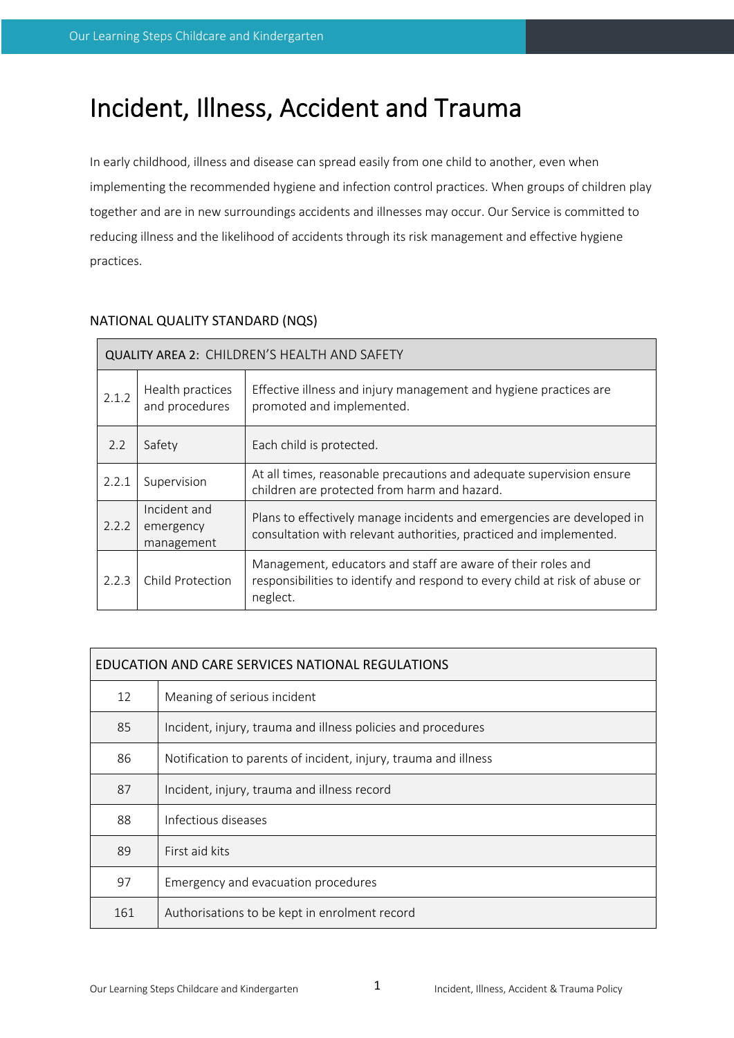# Incident, Illness, Accident and Trauma

In early childhood, illness and disease can spread easily from one child to another, even when implementing the recommended hygiene and infection control practices. When groups of children play together and are in new surroundings accidents and illnesses may occur. Our Service is committed to reducing illness and the likelihood of accidents through its risk management and effective hygiene practices.

| <b>QUALITY AREA 2: CHILDREN'S HEALTH AND SAFETY</b> |                                         |                                                                                                                                                         |  |  |  |
|-----------------------------------------------------|-----------------------------------------|---------------------------------------------------------------------------------------------------------------------------------------------------------|--|--|--|
| 2.1.2                                               | Health practices<br>and procedures      | Effective illness and injury management and hygiene practices are<br>promoted and implemented.                                                          |  |  |  |
| 2.2                                                 | Safety<br>Each child is protected.      |                                                                                                                                                         |  |  |  |
| 2.2.1                                               | Supervision                             | At all times, reasonable precautions and adequate supervision ensure<br>children are protected from harm and hazard.                                    |  |  |  |
| 2.2.2                                               | Incident and<br>emergency<br>management | Plans to effectively manage incidents and emergencies are developed in<br>consultation with relevant authorities, practiced and implemented.            |  |  |  |
| 2.2.3                                               | Child Protection                        | Management, educators and staff are aware of their roles and<br>responsibilities to identify and respond to every child at risk of abuse or<br>neglect. |  |  |  |

# NATIONAL QUALITY STANDARD (NQS)

| EDUCATION AND CARE SERVICES NATIONAL REGULATIONS |                                                                 |  |  |  |
|--------------------------------------------------|-----------------------------------------------------------------|--|--|--|
| 12                                               | Meaning of serious incident                                     |  |  |  |
| 85                                               | Incident, injury, trauma and illness policies and procedures    |  |  |  |
| 86                                               | Notification to parents of incident, injury, trauma and illness |  |  |  |
| 87                                               | Incident, injury, trauma and illness record                     |  |  |  |
| 88                                               | Infectious diseases                                             |  |  |  |
| 89                                               | First aid kits                                                  |  |  |  |
| 97                                               | Emergency and evacuation procedures                             |  |  |  |
| 161                                              | Authorisations to be kept in enrolment record                   |  |  |  |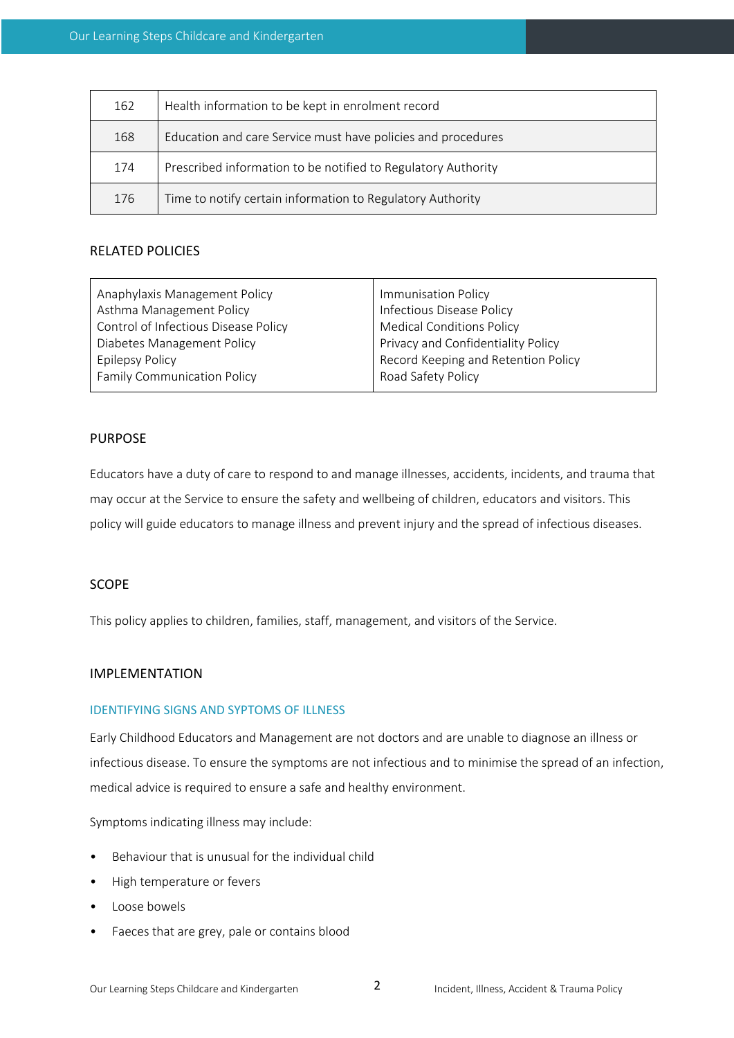| 162 | Health information to be kept in enrolment record             |
|-----|---------------------------------------------------------------|
| 168 | Education and care Service must have policies and procedures  |
| 174 | Prescribed information to be notified to Regulatory Authority |
| 176 | Time to notify certain information to Regulatory Authority    |

## RELATED POLICIES

| Anaphylaxis Management Policy        | Immunisation Policy                 |  |
|--------------------------------------|-------------------------------------|--|
| Asthma Management Policy             | Infectious Disease Policy           |  |
| Control of Infectious Disease Policy | <b>Medical Conditions Policy</b>    |  |
| Diabetes Management Policy           | Privacy and Confidentiality Policy  |  |
| <b>Epilepsy Policy</b>               | Record Keeping and Retention Policy |  |
| <b>Family Communication Policy</b>   | Road Safety Policy                  |  |
|                                      |                                     |  |

## PURPOSE

Educators have a duty of care to respond to and manage illnesses, accidents, incidents, and trauma that may occur at the Service to ensure the safety and wellbeing of children, educators and visitors. This policy will guide educators to manage illness and prevent injury and the spread of infectious diseases.

## SCOPE

This policy applies to children, families, staff, management, and visitors of the Service.

## IMPLEMENTATION

## IDENTIFYING SIGNS AND SYPTOMS OF ILLNESS

Early Childhood Educators and Management are not doctors and are unable to diagnose an illness or infectious disease. To ensure the symptoms are not infectious and to minimise the spread of an infection, medical advice is required to ensure a safe and healthy environment.

Symptoms indicating illness may include:

- Behaviour that is unusual for the individual child
- High temperature or fevers
- Loose bowels
- Faeces that are grey, pale or contains blood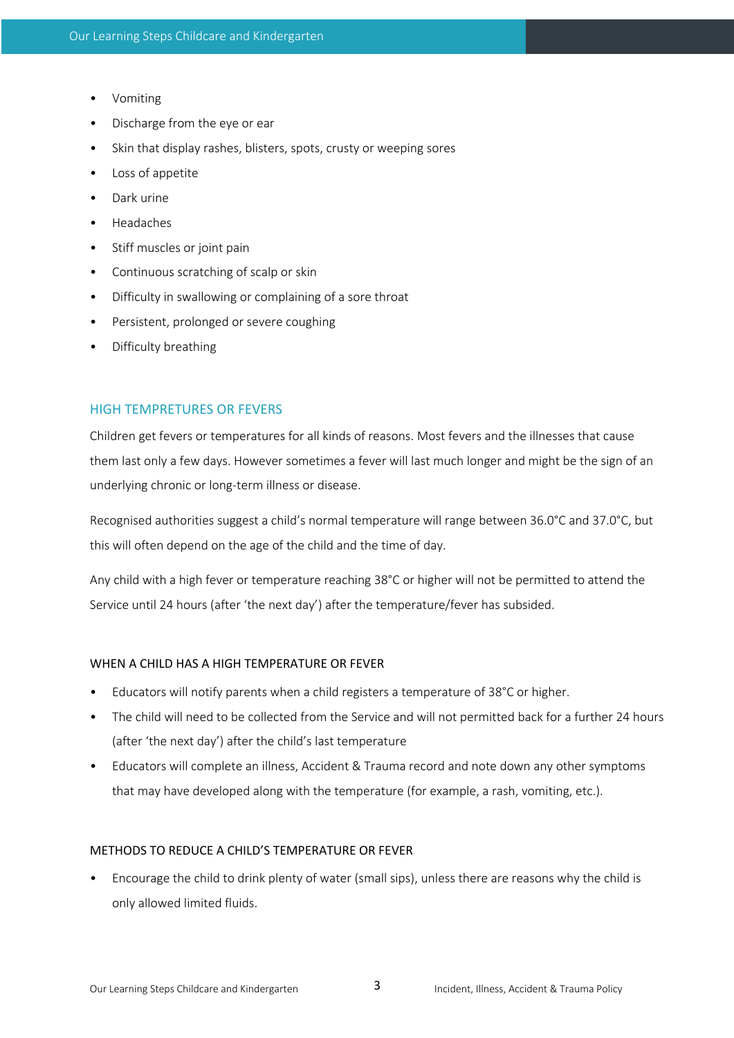- Vomiting
- Discharge from the eye or ear
- Skin that display rashes, blisters, spots, crusty or weeping sores
- Loss of appetite
- Dark urine
- Headaches
- Stiff muscles or joint pain
- Continuous scratching of scalp or skin
- Difficulty in swallowing or complaining of a sore throat
- Persistent, prolonged or severe coughing
- Difficulty breathing

## HIGH TEMPRETURES OR FEVERS

Children get fevers or temperatures for all kinds of reasons. Most fevers and the illnesses that cause them last only a few days. However sometimes a fever will last much longer and might be the sign of an underlying chronic or long-term illness or disease.

Recognised authorities suggest a child's normal temperature will range between 36.0°C and 37.0°C, but this will often depend on the age of the child and the time of day.

Any child with a high fever or temperature reaching 38°C or higher will not be permitted to attend the Service until 24 hours (after 'the next day') after the temperature/fever has subsided.

#### WHEN A CHILD HAS A HIGH TEMPERATURE OR FEVER

- Educators will notify parents when a child registers a temperature of 38°C or higher.
- The child will need to be collected from the Service and will not permitted back for a further 24 hours (after 'the next day') after the child's last temperature
- Educators will complete an illness, Accident & Trauma record and note down any other symptoms that may have developed along with the temperature (for example, a rash, vomiting, etc.).

## METHODS TO REDUCE A CHILD'S TEMPERATURE OR FEVER

• Encourage the child to drink plenty of water (small sips), unless there are reasons why the child is only allowed limited fluids.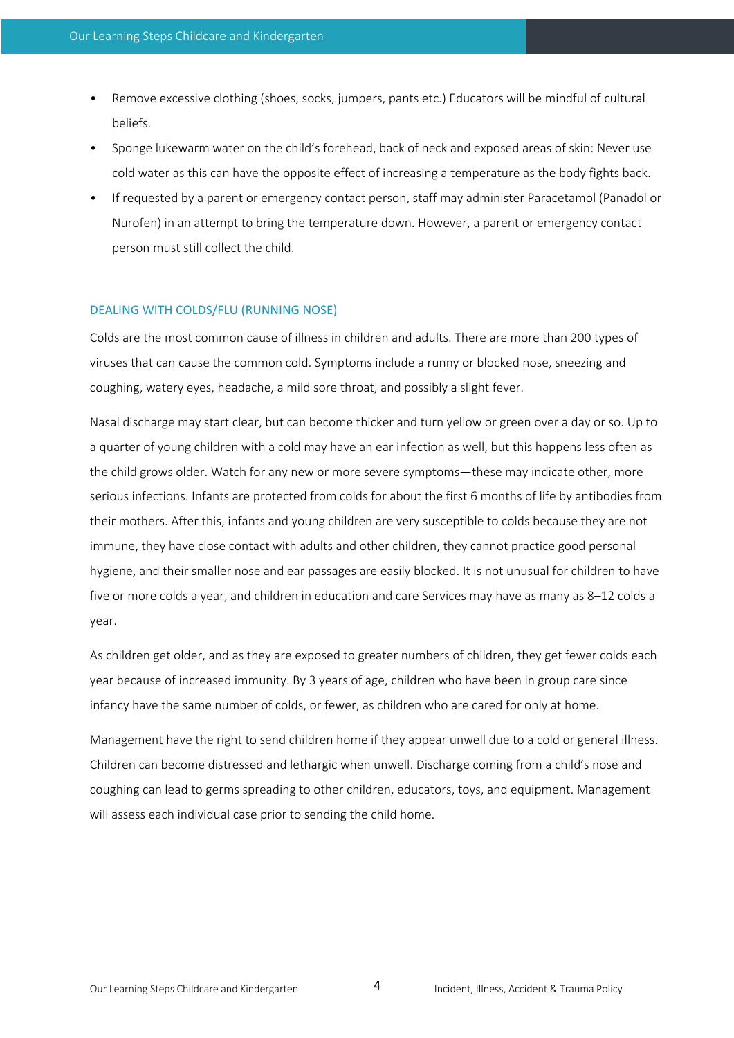- Remove excessive clothing (shoes, socks, jumpers, pants etc.) Educators will be mindful of cultural beliefs.
- Sponge lukewarm water on the child's forehead, back of neck and exposed areas of skin: Never use cold water as this can have the opposite effect of increasing a temperature as the body fights back.
- If requested by a parent or emergency contact person, staff may administer Paracetamol (Panadol or Nurofen) in an attempt to bring the temperature down. However, a parent or emergency contact person must still collect the child.

#### DEALING WITH COLDS/FLU (RUNNING NOSE)

Colds are the most common cause of illness in children and adults. There are more than 200 types of viruses that can cause the common cold. Symptoms include a runny or blocked nose, sneezing and coughing, watery eyes, headache, a mild sore throat, and possibly a slight fever.

Nasal discharge may start clear, but can become thicker and turn yellow or green over a day or so. Up to a quarter of young children with a cold may have an ear infection as well, but this happens less often as the child grows older. Watch for any new or more severe symptoms—these may indicate other, more serious infections. Infants are protected from colds for about the first 6 months of life by antibodies from their mothers. After this, infants and young children are very susceptible to colds because they are not immune, they have close contact with adults and other children, they cannot practice good personal hygiene, and their smaller nose and ear passages are easily blocked. It is not unusual for children to have five or more colds a year, and children in education and care Services may have as many as 8–12 colds a year.

As children get older, and as they are exposed to greater numbers of children, they get fewer colds each year because of increased immunity. By 3 years of age, children who have been in group care since infancy have the same number of colds, or fewer, as children who are cared for only at home.

Management have the right to send children home if they appear unwell due to a cold or general illness. Children can become distressed and lethargic when unwell. Discharge coming from a child's nose and coughing can lead to germs spreading to other children, educators, toys, and equipment. Management will assess each individual case prior to sending the child home.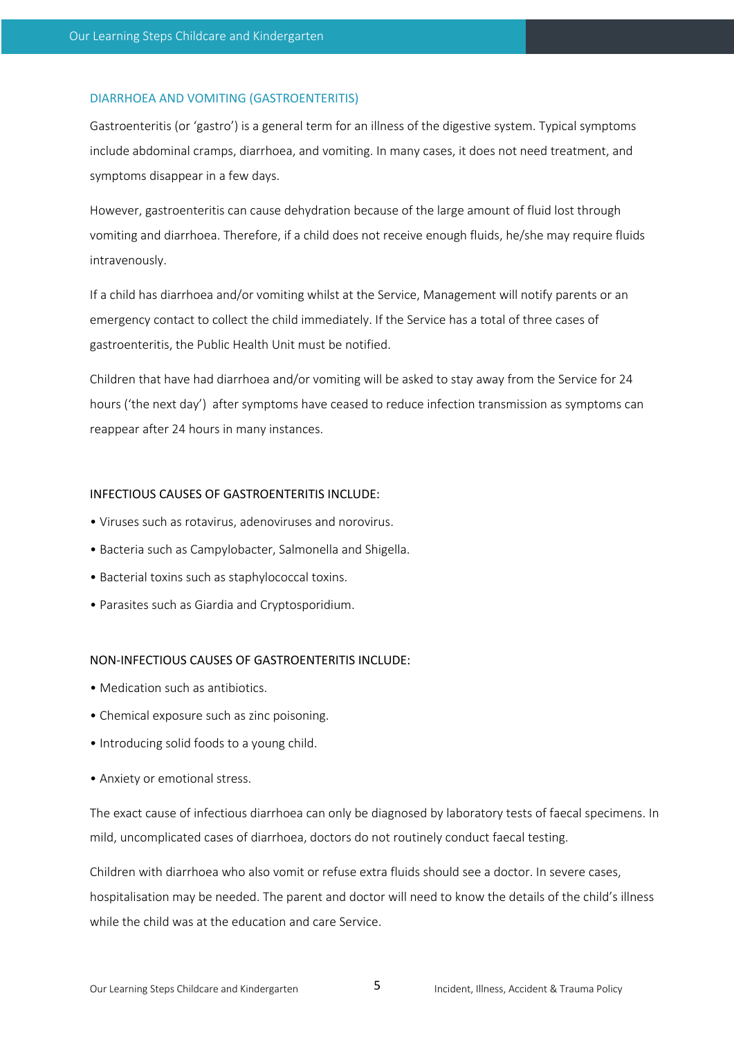#### DIARRHOEA AND VOMITING (GASTROENTERITIS)

Gastroenteritis (or 'gastro') is a general term for an illness of the digestive system. Typical symptoms include abdominal cramps, diarrhoea, and vomiting. In many cases, it does not need treatment, and symptoms disappear in a few days.

However, gastroenteritis can cause dehydration because of the large amount of fluid lost through vomiting and diarrhoea. Therefore, if a child does not receive enough fluids, he/she may require fluids intravenously.

If a child has diarrhoea and/or vomiting whilst at the Service, Management will notify parents or an emergency contact to collect the child immediately. If the Service has a total of three cases of gastroenteritis, the Public Health Unit must be notified.

Children that have had diarrhoea and/or vomiting will be asked to stay away from the Service for 24 hours ('the next day') after symptoms have ceased to reduce infection transmission as symptoms can reappear after 24 hours in many instances.

#### INFECTIOUS CAUSES OF GASTROENTERITIS INCLUDE:

- Viruses such as rotavirus, adenoviruses and norovirus.
- Bacteria such as Campylobacter, Salmonella and Shigella.
- Bacterial toxins such as staphylococcal toxins.
- Parasites such as Giardia and Cryptosporidium.

#### NON-INFECTIOUS CAUSES OF GASTROENTERITIS INCLUDE:

- Medication such as antibiotics.
- Chemical exposure such as zinc poisoning.
- Introducing solid foods to a young child.
- Anxiety or emotional stress.

The exact cause of infectious diarrhoea can only be diagnosed by laboratory tests of faecal specimens. In mild, uncomplicated cases of diarrhoea, doctors do not routinely conduct faecal testing.

Children with diarrhoea who also vomit or refuse extra fluids should see a doctor. In severe cases, hospitalisation may be needed. The parent and doctor will need to know the details of the child's illness while the child was at the education and care Service.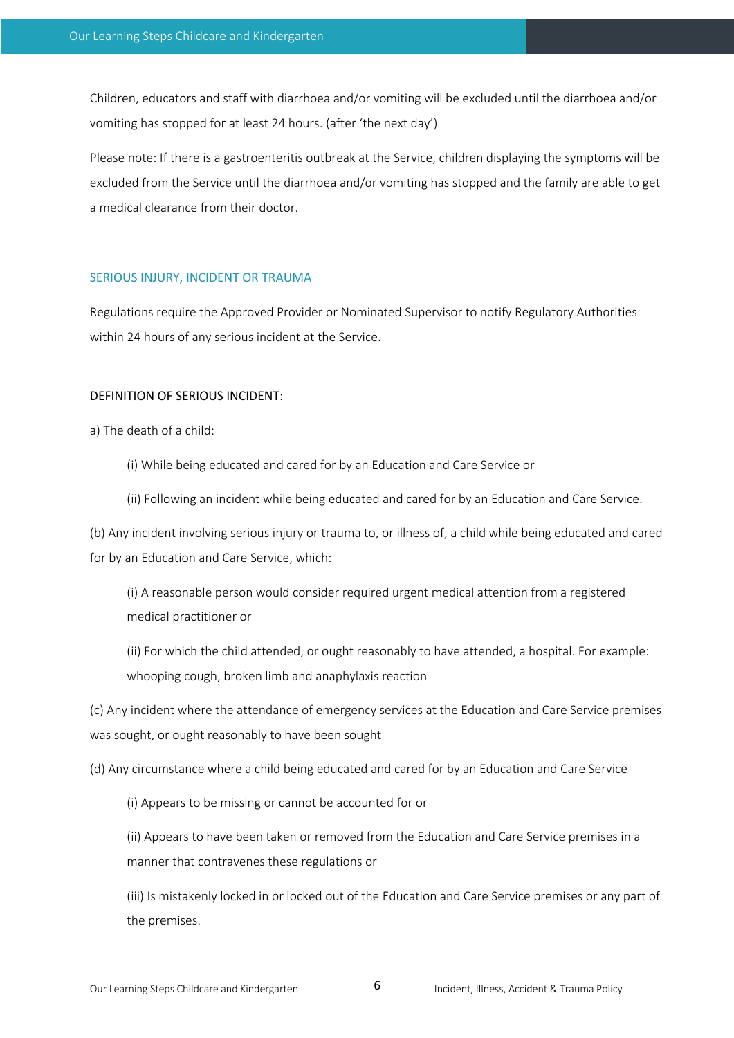Children, educators and staff with diarrhoea and/or vomiting will be excluded until the diarrhoea and/or vomiting has stopped for at least 24 hours. (after 'the next day')

Please note: If there is a gastroenteritis outbreak at the Service, children displaying the symptoms will be excluded from the Service until the diarrhoea and/or vomiting has stopped and the family are able to get a medical clearance from their doctor.

#### SERIOUS INJURY, INCIDENT OR TRAUMA

Regulations require the Approved Provider or Nominated Supervisor to notify Regulatory Authorities within 24 hours of any serious incident at the Service.

#### DEFINITION OF SERIOUS INCIDENT:

a) The death of a child:

- (i) While being educated and cared for by an Education and Care Service or
- (ii) Following an incident while being educated and cared for by an Education and Care Service.

(b) Any incident involving serious injury or trauma to, or illness of, a child while being educated and cared for by an Education and Care Service, which:

(i) A reasonable person would consider required urgent medical attention from a registered medical practitioner or

(ii) For which the child attended, or ought reasonably to have attended, a hospital. For example: whooping cough, broken limb and anaphylaxis reaction

(c) Any incident where the attendance of emergency services at the Education and Care Service premises was sought, or ought reasonably to have been sought

(d) Any circumstance where a child being educated and cared for by an Education and Care Service

(i) Appears to be missing or cannot be accounted for or

(ii) Appears to have been taken or removed from the Education and Care Service premises in a manner that contravenes these regulations or

(iii) Is mistakenly locked in or locked out of the Education and Care Service premises or any part of the premises.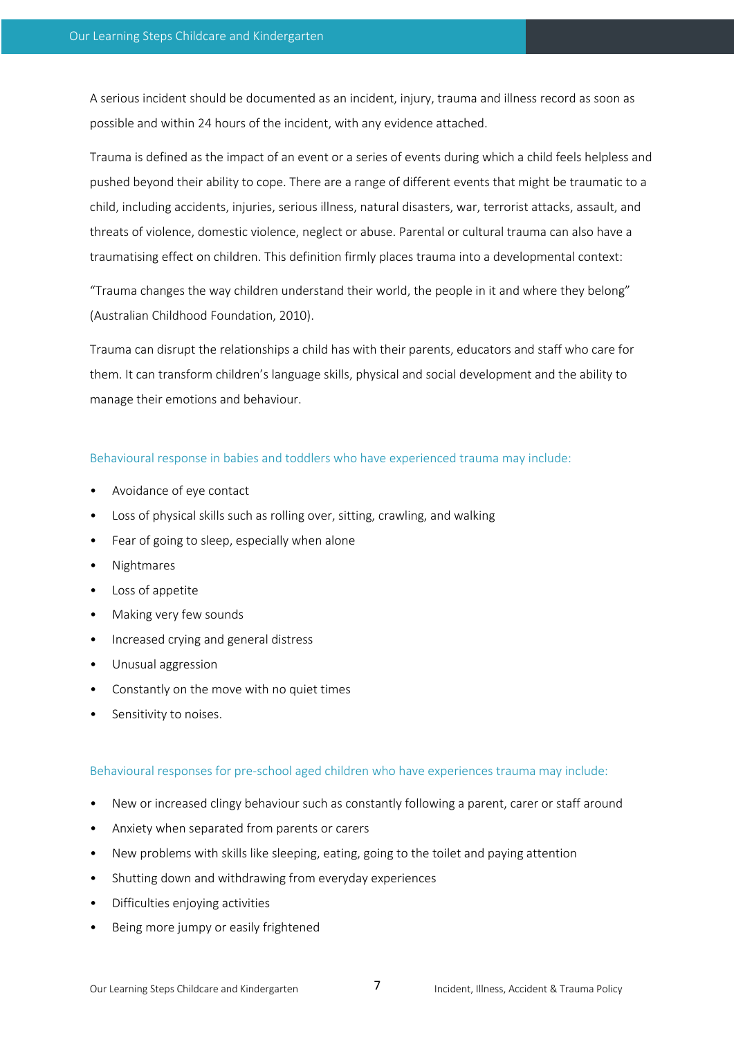A serious incident should be documented as an incident, injury, trauma and illness record as soon as possible and within 24 hours of the incident, with any evidence attached.

Trauma is defined as the impact of an event or a series of events during which a child feels helpless and pushed beyond their ability to cope. There are a range of different events that might be traumatic to a child, including accidents, injuries, serious illness, natural disasters, war, terrorist attacks, assault, and threats of violence, domestic violence, neglect or abuse. Parental or cultural trauma can also have a traumatising effect on children. This definition firmly places trauma into a developmental context:

"Trauma changes the way children understand their world, the people in it and where they belong" (Australian Childhood Foundation, 2010).

Trauma can disrupt the relationships a child has with their parents, educators and staff who care for them. It can transform children's language skills, physical and social development and the ability to manage their emotions and behaviour.

#### Behavioural response in babies and toddlers who have experienced trauma may include:

- Avoidance of eye contact
- Loss of physical skills such as rolling over, sitting, crawling, and walking
- Fear of going to sleep, especially when alone
- Nightmares
- Loss of appetite
- Making very few sounds
- Increased crying and general distress
- Unusual aggression
- Constantly on the move with no quiet times
- Sensitivity to noises.

#### Behavioural responses for pre-school aged children who have experiences trauma may include:

- New or increased clingy behaviour such as constantly following a parent, carer or staff around
- Anxiety when separated from parents or carers
- New problems with skills like sleeping, eating, going to the toilet and paying attention
- Shutting down and withdrawing from everyday experiences
- Difficulties enjoying activities
- Being more jumpy or easily frightened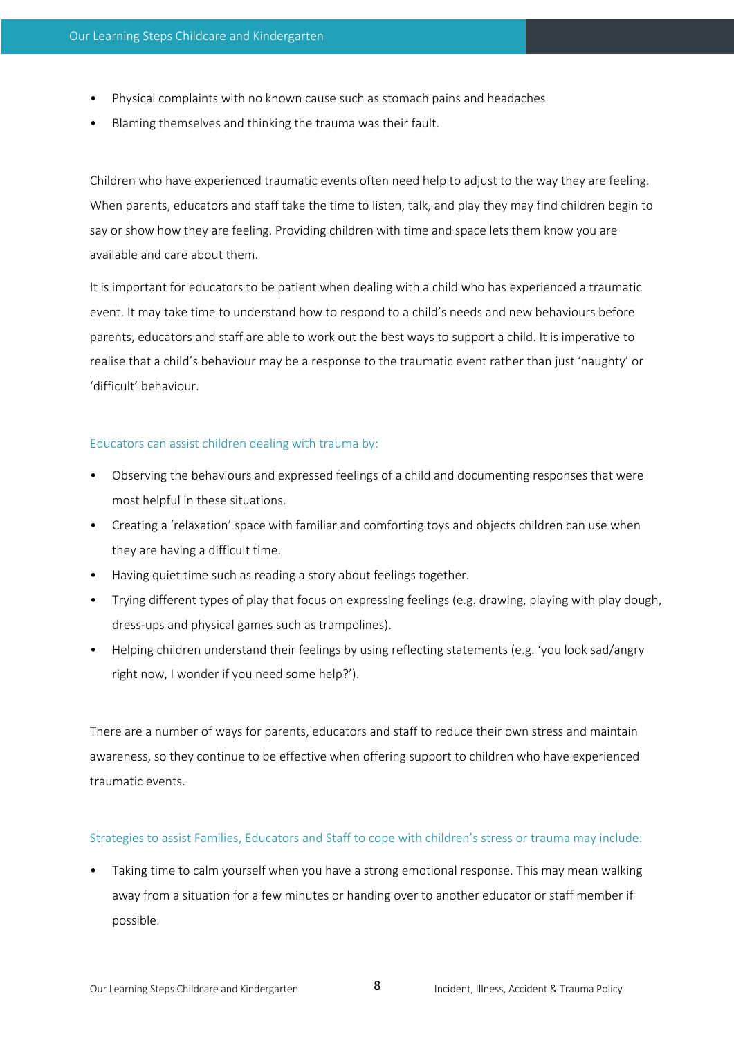- Physical complaints with no known cause such as stomach pains and headaches
- Blaming themselves and thinking the trauma was their fault.

Children who have experienced traumatic events often need help to adjust to the way they are feeling. When parents, educators and staff take the time to listen, talk, and play they may find children begin to say or show how they are feeling. Providing children with time and space lets them know you are available and care about them.

It is important for educators to be patient when dealing with a child who has experienced a traumatic event. It may take time to understand how to respond to a child's needs and new behaviours before parents, educators and staff are able to work out the best ways to support a child. It is imperative to realise that a child's behaviour may be a response to the traumatic event rather than just 'naughty' or 'difficult' behaviour.

## Educators can assist children dealing with trauma by:

- Observing the behaviours and expressed feelings of a child and documenting responses that were most helpful in these situations.
- Creating a 'relaxation' space with familiar and comforting toys and objects children can use when they are having a difficult time.
- Having quiet time such as reading a story about feelings together.
- Trying different types of play that focus on expressing feelings (e.g. drawing, playing with play dough, dress-ups and physical games such as trampolines).
- Helping children understand their feelings by using reflecting statements (e.g. 'you look sad/angry right now, I wonder if you need some help?').

There are a number of ways for parents, educators and staff to reduce their own stress and maintain awareness, so they continue to be effective when offering support to children who have experienced traumatic events.

#### Strategies to assist Families, Educators and Staff to cope with children's stress or trauma may include:

• Taking time to calm yourself when you have a strong emotional response. This may mean walking away from a situation for a few minutes or handing over to another educator or staff member if possible.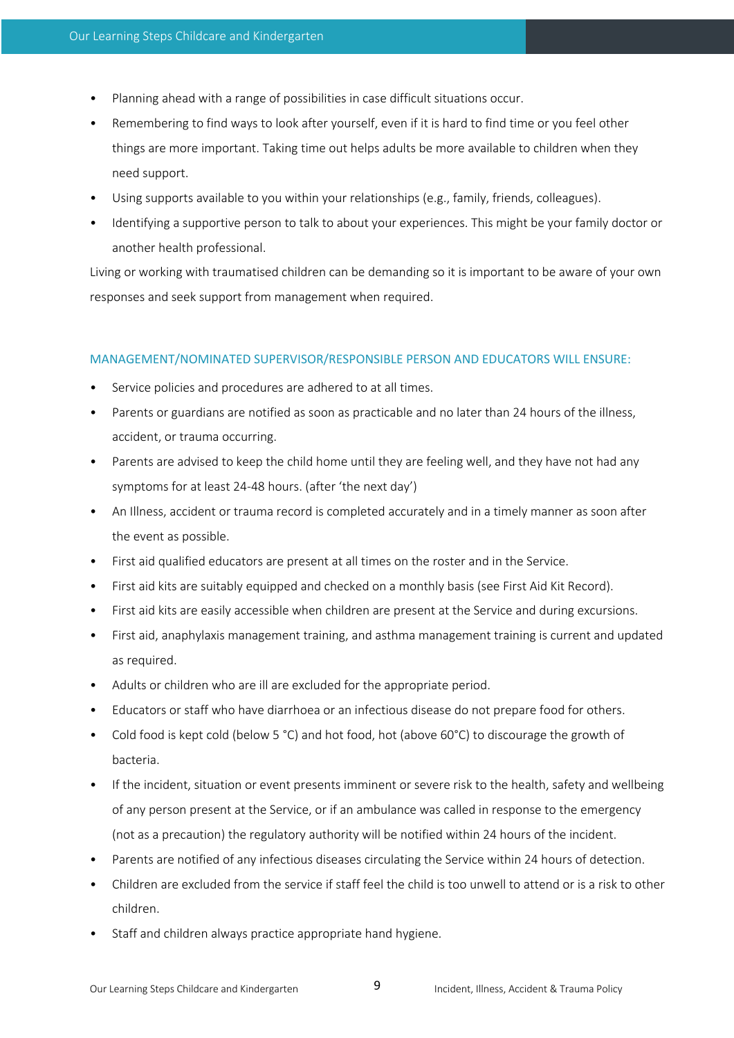- Planning ahead with a range of possibilities in case difficult situations occur.
- Remembering to find ways to look after yourself, even if it is hard to find time or you feel other things are more important. Taking time out helps adults be more available to children when they need support.
- Using supports available to you within your relationships (e.g., family, friends, colleagues).
- Identifying a supportive person to talk to about your experiences. This might be your family doctor or another health professional.

Living or working with traumatised children can be demanding so it is important to be aware of your own responses and seek support from management when required.

## MANAGEMENT/NOMINATED SUPERVISOR/RESPONSIBLE PERSON AND EDUCATORS WILL ENSURE:

- Service policies and procedures are adhered to at all times.
- Parents or guardians are notified as soon as practicable and no later than 24 hours of the illness, accident, or trauma occurring.
- Parents are advised to keep the child home until they are feeling well, and they have not had any symptoms for at least 24-48 hours. (after 'the next day')
- An Illness, accident or trauma record is completed accurately and in a timely manner as soon after the event as possible.
- First aid qualified educators are present at all times on the roster and in the Service.
- First aid kits are suitably equipped and checked on a monthly basis (see First Aid Kit Record).
- First aid kits are easily accessible when children are present at the Service and during excursions.
- First aid, anaphylaxis management training, and asthma management training is current and updated as required.
- Adults or children who are ill are excluded for the appropriate period.
- Educators or staff who have diarrhoea or an infectious disease do not prepare food for others.
- Cold food is kept cold (below 5 °C) and hot food, hot (above 60°C) to discourage the growth of bacteria.
- If the incident, situation or event presents imminent or severe risk to the health, safety and wellbeing of any person present at the Service, or if an ambulance was called in response to the emergency (not as a precaution) the regulatory authority will be notified within 24 hours of the incident.
- Parents are notified of any infectious diseases circulating the Service within 24 hours of detection.
- Children are excluded from the service if staff feel the child is too unwell to attend or is a risk to other children.
- Staff and children always practice appropriate hand hygiene.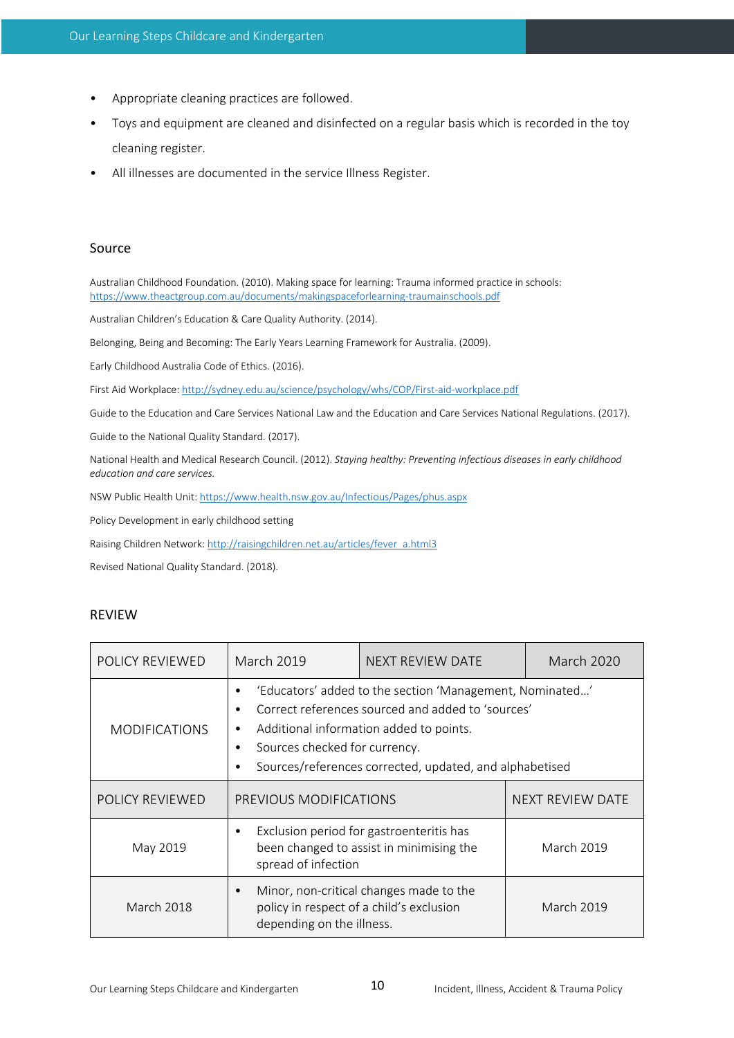- Appropriate cleaning practices are followed.
- Toys and equipment are cleaned and disinfected on a regular basis which is recorded in the toy cleaning register.
- All illnesses are documented in the service Illness Register.

## Source

Australian Childhood Foundation. (2010). Making space for learning: Trauma informed practice in schools: https://www.theactgroup.com.au/documents/makingspaceforlearning-traumainschools.pdf

Australian Children's Education & Care Quality Authority. (2014).

Belonging, Being and Becoming: The Early Years Learning Framework for Australia. (2009).

Early Childhood Australia Code of Ethics. (2016).

First Aid Workplace: http://sydney.edu.au/science/psychology/whs/COP/First-aid-workplace.pdf

Guide to the Education and Care Services National Law and the Education and Care Services National Regulations. (2017).

Guide to the National Quality Standard. (2017).

National Health and Medical Research Council. (2012). *Staying healthy: Preventing infectious diseases in early childhood education and care services.* 

NSW Public Health Unit: https://www.health.nsw.gov.au/Infectious/Pages/phus.aspx

Policy Development in early childhood setting

Raising Children Network: http://raisingchildren.net.au/articles/fever\_a.html3

Revised National Quality Standard. (2018).

## REVIEW

| POLICY REVIEWED      | <b>March 2019</b>                                                                                                                                                                                                                                         | <b>NEXT REVIEW DATE</b>                 | <b>March 2020</b> |
|----------------------|-----------------------------------------------------------------------------------------------------------------------------------------------------------------------------------------------------------------------------------------------------------|-----------------------------------------|-------------------|
| <b>MODIFICATIONS</b> | 'Educators' added to the section 'Management, Nominated'<br>Correct references sourced and added to 'sources'<br>Additional information added to points.<br>٠<br>Sources checked for currency.<br>Sources/references corrected, updated, and alphabetised |                                         |                   |
| POLICY REVIEWED      | PREVIOUS MODIFICATIONS                                                                                                                                                                                                                                    |                                         | NEXT REVIEW DATE  |
| May 2019             | Exclusion period for gastroenteritis has<br>been changed to assist in minimising the<br>spread of infection                                                                                                                                               |                                         | March 2019        |
| <b>March 2018</b>    | policy in respect of a child's exclusion<br>depending on the illness.                                                                                                                                                                                     | Minor, non-critical changes made to the | <b>March 2019</b> |